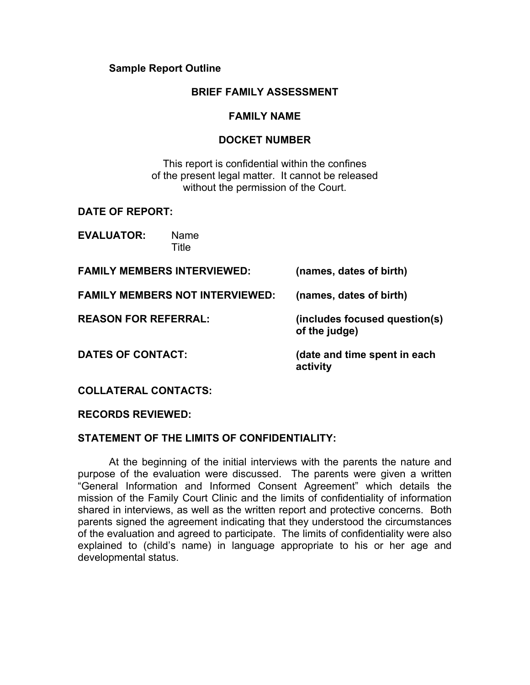### **Sample Report Outline**

### **BRIEF FAMILY ASSESSMENT**

### **FAMILY NAME**

### **DOCKET NUMBER**

This report is confidential within the confines of the present legal matter. It cannot be released without the permission of the Court.

### **DATE OF REPORT:**

**EVALUATOR:** Name **Title** 

| <b>FAMILY MEMBERS INTERVIEWED:</b>     | (names, dates of birth)                        |
|----------------------------------------|------------------------------------------------|
| <b>FAMILY MEMBERS NOT INTERVIEWED:</b> | (names, dates of birth)                        |
| <b>REASON FOR REFERRAL:</b>            | (includes focused question(s)<br>of the judge) |
| <b>DATES OF CONTACT:</b>               | (date and time spent in each<br>activity       |
| <b>COLLATERAL CONTACTS:</b>            |                                                |

# **RECORDS REVIEWED:**

# **STATEMENT OF THE LIMITS OF CONFIDENTIALITY:**

 At the beginning of the initial interviews with the parents the nature and purpose of the evaluation were discussed. The parents were given a written "General Information and Informed Consent Agreement" which details the mission of the Family Court Clinic and the limits of confidentiality of information shared in interviews, as well as the written report and protective concerns. Both parents signed the agreement indicating that they understood the circumstances of the evaluation and agreed to participate. The limits of confidentiality were also explained to (child's name) in language appropriate to his or her age and developmental status.